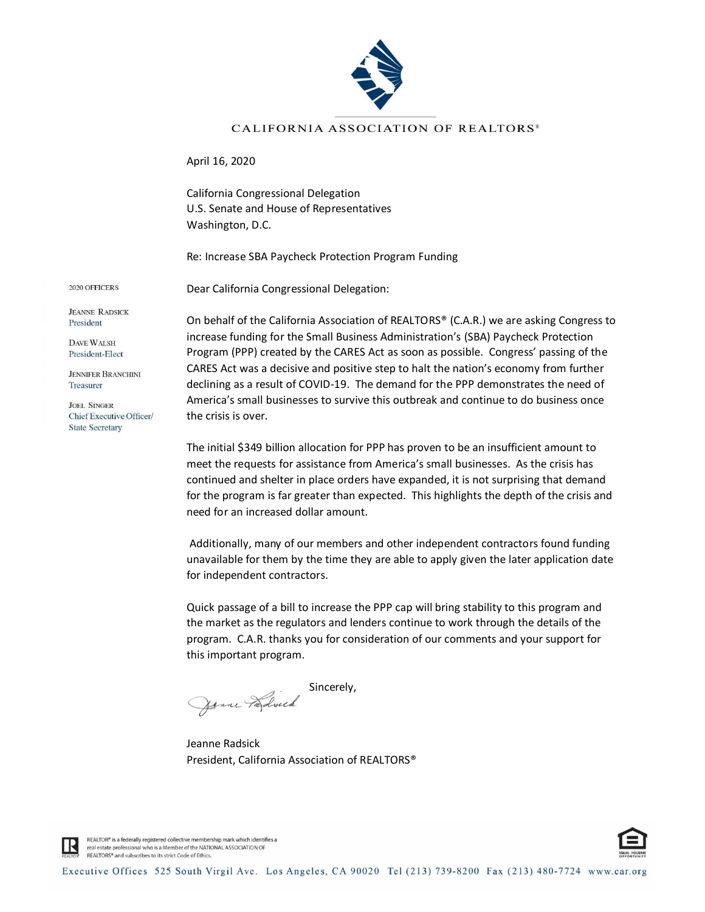

## CALIFORNIA ASSOCIATION OF REALTORS<sup>®</sup>

April 16, 2020

California Congressional Delegation U.S. Senate and House of Representatives Washington, D.C.

Re: Increase SBA Paycheck Protection Program Funding

2020 OFFICERS

**JEANNE RADSICK** President **DAVE WALSH** President-Elect **JENNIFER BRANCHINI** Treasurer **JOEL SINGER** 

Chief Executive Officer/ **State Secretary** 

Dear California Congressional Delegation:

On behalf of the California Association of REALTORS® (C.A.R.) we are asking Congress to increase funding for the Small Business Administration's (SBA) Paycheck Protection Program (PPP) created by the CARES Act as soon as possible. Congress' passing of the CARES Act was a decisive and positive step to halt the nation's economy from further declining as a result of COVID-19. The demand for the PPP demonstrates the need of America's small businesses to survive this outbreak and continue to do business once the crisis is over.

The initial \$349 billion allocation for PPP has proven to be an insufficient amount to meet the requests for assistance from America's small businesses. As the crisis has continued and shelter in place orders have expanded, it is not surprising that demand for the program is far greater than expected. This highlights the depth of the crisis and need for an increased dollar amount.

Additionally, many of our members and other independent contractors found funding unavailable for them by the time they are able to apply given the later application date for independent contractors.

Quick passage of a bill to increase the PPP cap will bring stability to this program and the market as the regulators and lenders continue to work through the details of the program. C.A.R. thanks you for consideration of our comments and your support for this important program.

Sincerely, Janne Paravick

Jeanne Radsick President, California Association of REALTORS®



REALTOR® is a federally registered collective membership mark which identifies a real estate professional who is a Member of the NATIONAL ASSOCIATION OF REALTORS® and subscribes to its strict Code of Ethics